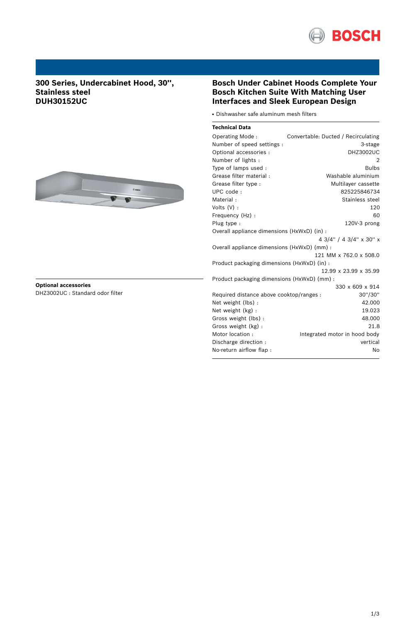

# **300 Series, Undercabinet Hood, 30'', Stainless steel DUH30152UC**



### **Optional accessories** DHZ3002UC : Standard odor filter

## **Bosch Under Cabinet Hoods Complete Your Bosch Kitchen Suite With Matching User Interfaces and Sleek European Design**

• Dishwasher safe aluminum mesh filters

| <b>Technical Data</b> |  |
|-----------------------|--|
|                       |  |

| Operating Mode:                             | Convertable: Ducted / Recirculating |  |  |
|---------------------------------------------|-------------------------------------|--|--|
| Number of speed settings :                  | 3-stage                             |  |  |
| Optional accessories :                      | <b>DHZ3002UC</b>                    |  |  |
| Number of lights :                          | 2                                   |  |  |
| Type of lamps used:                         | <b>Bulbs</b>                        |  |  |
| Grease filter material:                     | Washable aluminium                  |  |  |
| Grease filter type :                        | Multilayer cassette                 |  |  |
| UPC code:                                   | 825225846734                        |  |  |
| Material:                                   | Stainless steel                     |  |  |
| Volts (V) :                                 | 120                                 |  |  |
| Frequency (Hz) :                            | 60                                  |  |  |
| Plug type :                                 | 120V-3 prong                        |  |  |
| Overall appliance dimensions (HxWxD) (in) : |                                     |  |  |
|                                             | 4 3/4" / 4 3/4" x 30" x             |  |  |
| Overall appliance dimensions (HxWxD) (mm) : |                                     |  |  |
|                                             | 121 MM x 762.0 x 508.0              |  |  |
| Product packaging dimensions (HxWxD) (in) : |                                     |  |  |
|                                             | 12.99 x 23.99 x 35.99               |  |  |
| Product packaging dimensions (HxWxD) (mm) : |                                     |  |  |
|                                             | 330 x 609 x 914                     |  |  |
| Required distance above cooktop/ranges :    | 30"/30"                             |  |  |
| Net weight (lbs) :                          | 42.000                              |  |  |
| Net weight (kg):                            | 19.023                              |  |  |
| Gross weight (lbs):                         | 48.000                              |  |  |
| Gross weight (kg):                          | 21.8                                |  |  |
| Motor location:                             | Integrated motor in hood body       |  |  |
| Discharge direction:                        | vertical                            |  |  |
| No-return airflow flap:                     | No                                  |  |  |
|                                             |                                     |  |  |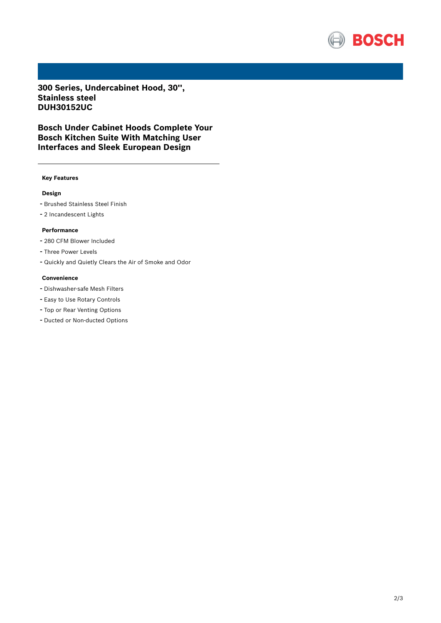

**300 Series, Undercabinet Hood, 30'', Stainless steel DUH30152UC**

**Bosch Under Cabinet Hoods Complete Your Bosch Kitchen Suite With Matching User Interfaces and Sleek European Design**

#### **Key Features**

### **Design**

- Brushed Stainless Steel Finish
- <sup>2</sup> Incandescent Lights

#### **Performance**

- <sup>280</sup> CFM Blower Included
- Three Power Levels
- Quickly and Quietly Clears the Air of Smoke and Odor

#### **Convenience**

- Dishwasher-safe Mesh Filters
- Easy to Use Rotary Controls
- Top or Rear Venting Options
- Ducted or Non-ducted Options